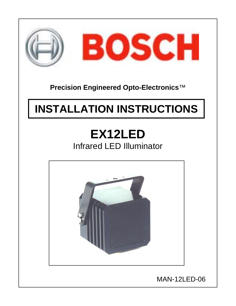

#### **Precision Engineered Opto-Electronics**™

# **INSTALLATION INSTRUCTIONS**

# **EX12LED**

Infrared LED Illuminator



MAN-12LED-06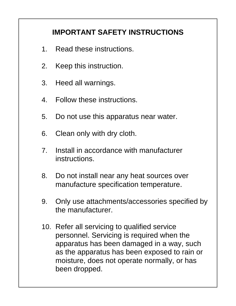#### **IMPORTANT SAFETY INSTRUCTIONS**

- 1. Read these instructions.
- 2. Keep this instruction.
- 3. Heed all warnings.
- 4. Follow these instructions.
- 5. Do not use this apparatus near water.
- 6. Clean only with dry cloth.
- 7. Install in accordance with manufacturer instructions.
- 8. Do not install near any heat sources over manufacture specification temperature.
- 9. Only use attachments/accessories specified by the manufacturer.
- 10. Refer all servicing to qualified service personnel. Servicing is required when the apparatus has been damaged in a way, such as the apparatus has been exposed to rain or moisture, does not operate normally, or has been dropped.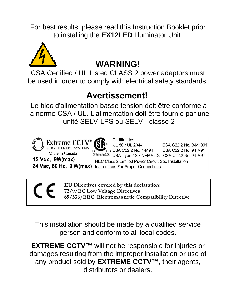For best results, please read this Instruction Booklet prior to installing the **EX12LED** Illuminator Unit.



#### **WARNING!**

CSA Certified / UL Listed CLASS 2 power adaptors must be used in order to comply with electrical safety standards.

#### **Avertissement!**

Le bloc d'alimentation basse tension doit être conforme à la norme CSA / UL. L'alimentation doit être fournie par une unité SELV-LPS ou SELV - classe 2



**EU Directives covered by this declaration:**  $\epsilon$ **72/9/EC Low Voltage Directives 89/336/EEC Electromagnetic Compatibility Directive** 

This installation should be made by a qualified service person and conform to all local codes.

**EXTREME CCTV™** will not be responsible for injuries or damages resulting from the improper installation or use of any product sold by **EXTREME CCTV™,** their agents, distributors or dealers.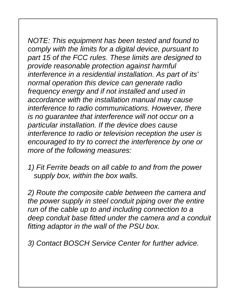*NOTE: This equipment has been tested and found to comply with the limits for a digital device, pursuant to part 15 of the FCC rules. These limits are designed to provide reasonable protection against harmful interference in a residential installation. As part of its' normal operation this device can generate radio frequency energy and if not installed and used in accordance with the installation manual may cause interference to radio communications. However, there is no guarantee that interference will not occur on a particular installation. If the device does cause interference to radio or television reception the user is encouraged to try to correct the interference by one or more of the following measures:* 

*1) Fit Ferrite beads on all cable to and from the power supply box, within the box walls.* 

*2) Route the composite cable between the camera and the power supply in steel conduit piping over the entire run of the cable up to and including connection to a deep conduit base fitted under the camera and a conduit fitting adaptor in the wall of the PSU box.* 

*3) Contact BOSCH Service Center for further advice.*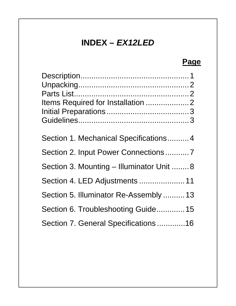#### **INDEX –** *EX12LED*

#### **Page**

| Section 1. Mechanical Specifications 4    |  |
|-------------------------------------------|--|
| Section 2. Input Power Connections7       |  |
| Section 3. Mounting - Illuminator Unit  8 |  |
| Section 4. LED Adjustments  11            |  |
| Section 5. Illuminator Re-Assembly  13    |  |
| Section 6. Troubleshooting Guide 15       |  |
| Section 7. General Specifications 16      |  |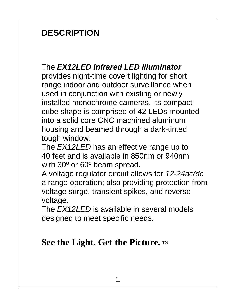#### **DESCRIPTION**

#### The *EX12LED Infrared LED Illuminator*

provides night-time covert lighting for short range indoor and outdoor surveillance when used in conjunction with existing or newly installed monochrome cameras. Its compact cube shape is comprised of 42 LEDs mounted into a solid core CNC machined aluminum housing and beamed through a dark-tinted tough window.

The *EX12LED* has an effective range up to 40 feet and is available in 850nm or 940nm with 30º or 60º beam spread.

A voltage regulator circuit allows for *12-24ac/dc* a range operation; also providing protection from voltage surge, transient spikes, and reverse voltage.

The *FX12LFD* is available in several models designed to meet specific needs.

#### **See the Light. Get the Picture.** ™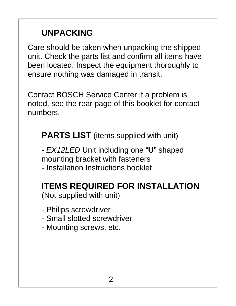#### **UNPACKING**

Care should be taken when unpacking the shipped unit. Check the parts list and confirm all items have been located. Inspect the equipment thoroughly to ensure nothing was damaged in transit.

Contact BOSCH Service Center if a problem is noted, see the rear page of this booklet for contact numbers.

**PARTS LIST** (items supplied with unit)

- *EX12LED* Unit including one "**U**" shaped mounting bracket with fasteners - Installation Instructions booklet

#### **ITEMS REQUIRED FOR INSTALLATION**

(Not supplied with unit)

- Philips screwdriver
- Small slotted screwdriver
- Mounting screws, etc.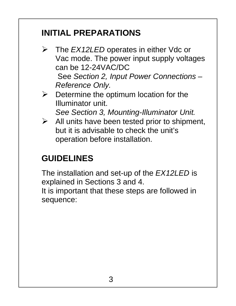#### **INITIAL PREPARATIONS**

- The *EX12LED* operates in either Vdc or Vac mode. The power input supply voltages can be 12-24VAC/DC See *Section 2, Input Power Connections – Reference Only.*
- $\triangleright$  Determine the optimum location for the Illuminator unit.

*See Section 3, Mounting-Illuminator Unit.*

 $\triangleright$  All units have been tested prior to shipment, but it is advisable to check the unit's operation before installation.

# **GUIDELINES**

The installation and set-up of the *EX12LED* is explained in Sections 3 and 4.

It is important that these steps are followed in sequence: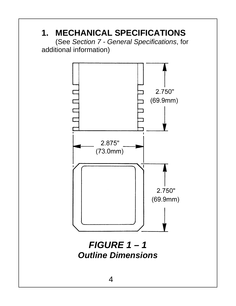#### **1. MECHANICAL SPECIFICATIONS**

(See *Section 7 - General Specifications*, for additional information)

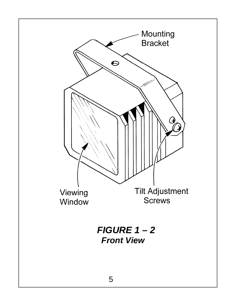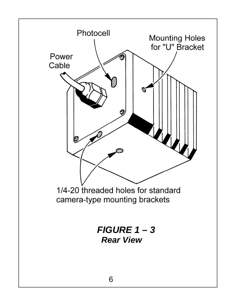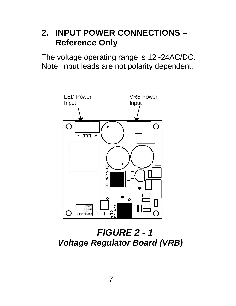#### **2. INPUT POWER CONNECTIONS – Reference Only**

The voltage operating range is 12~24AC/DC. Note: input leads are not polarity dependent.



*FIGURE 2 - 1 Voltage Regulator Board (VRB)*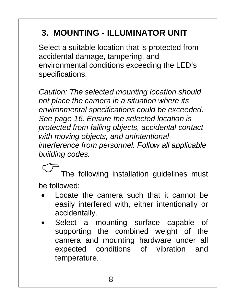## **3. MOUNTING - ILLUMINATOR UNIT**

Select a suitable location that is protected from accidental damage, tampering, and environmental conditions exceeding the LED's specifications.

*Caution: The selected mounting location should not place the camera in a situation where its environmental specifications could be exceeded. See page 16. Ensure the selected location is protected from falling objects, accidental contact with moving objects, and unintentional interference from personnel. Follow all applicable building codes.* 

The following installation guidelines must be followed:

- Locate the camera such that it cannot be easily interfered with, either intentionally or accidentally.
- Select a mounting surface capable of supporting the combined weight of the camera and mounting hardware under all expected conditions of vibration and temperature.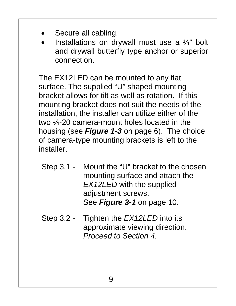- Secure all cabling.
- Installations on drywall must use a ¼" bolt and drywall butterfly type anchor or superior connection.

The EX12LED can be mounted to any flat surface. The supplied "U" shaped mounting bracket allows for tilt as well as rotation. If this mounting bracket does not suit the needs of the installation, the installer can utilize either of the two ¼-20 camera-mount holes located in the housing (see *Figure 1-3* on page 6). The choice of camera-type mounting brackets is left to the installer.

- Step 3.1 Mount the "U" bracket to the chosen mounting surface and attach the *EX12LED* with the supplied adjustment screws. See *Figure 3-1* on page 10.
- Step 3.2 Tighten the *EX12LED* into its approximate viewing direction. *Proceed to Section 4.*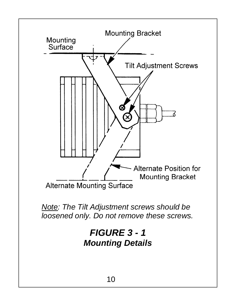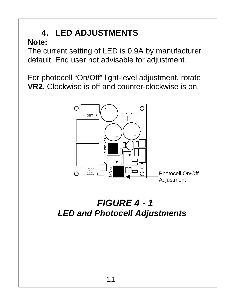# **4. LED ADJUSTMENTS**

#### **Note:**

The current setting of LED is 0.9A by manufacturer default. End user not advisable for adjustment.

For photocell "On/Off" light-level adjustment, rotate **VR2.** Clockwise is off and counter-clockwise is on.



#### *FIGURE 4 - 1 LED and Photocell Adjustments*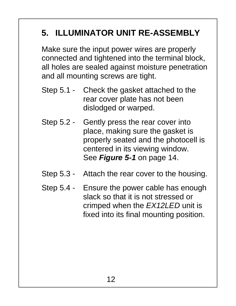# **5. ILLUMINATOR UNIT RE-ASSEMBLY**

Make sure the input power wires are properly connected and tightened into the terminal block, all holes are sealed against moisture penetration and all mounting screws are tight.

- Step 5.1 Check the gasket attached to the rear cover plate has not been dislodged or warped.
- Step 5.2 Gently press the rear cover into place, making sure the gasket is properly seated and the photocell is centered in its viewing window. See *Figure 5-1* on page 14.
- Step 5.3 Attach the rear cover to the housing.
- Step 5.4 Ensure the power cable has enough slack so that it is not stressed or crimped when the *EX12LED* unit is fixed into its final mounting position.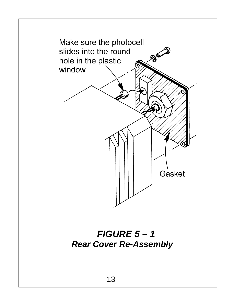

#### *FIGURE 5 – 1 Rear Cover Re-Assembly*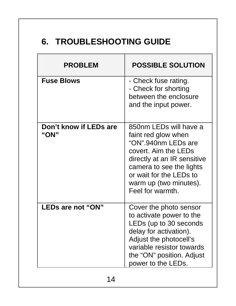### **6. TROUBLESHOOTING GUIDE**

| <b>PROBLEM</b>                        | <b>POSSIBLE SOLUTION</b>                                                                                                                                                                                                         |
|---------------------------------------|----------------------------------------------------------------------------------------------------------------------------------------------------------------------------------------------------------------------------------|
| <b>Fuse Blows</b>                     | - Check fuse rating.<br>- Check for shorting<br>between the enclosure<br>and the input power.                                                                                                                                    |
| Don't know if LEDs are<br><b>"ON"</b> | 850nm LEDs will have a<br>faint red glow when<br>"ON".940nm LEDs are<br>covert. Aim the LEDs<br>directly at an IR sensitive<br>camera to see the lights<br>or wait for the LEDs to<br>warm up (two minutes).<br>Feel for warmth. |
| LEDs are not "ON"                     | Cover the photo sensor<br>to activate power to the<br>LEDs (up to 30 seconds<br>delay for activation).<br>Adjust the photocell's<br>variable resistor towards<br>the "ON" position. Adjust<br>power to the LEDs.                 |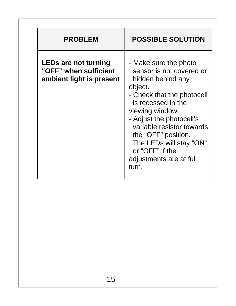| <b>PROBLEM</b>                                                                   | <b>POSSIBLE SOLUTION</b>                                                                                                                                                                                                                                                                                                   |
|----------------------------------------------------------------------------------|----------------------------------------------------------------------------------------------------------------------------------------------------------------------------------------------------------------------------------------------------------------------------------------------------------------------------|
| <b>LEDs are not turning</b><br>"OFF" when sufficient<br>ambient light is present | - Make sure the photo<br>sensor is not covered or<br>hidden behind any<br>object.<br>- Check that the photocell<br>is recessed in the<br>viewing window.<br>- Adjust the photocell's<br>variable resistor towards<br>the "OFF" position.<br>The LEDs will stay "ON"<br>or "OFF" if the<br>adjustments are at full<br>turn. |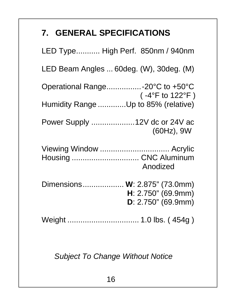## **7. GENERAL SPECIFICATIONS**

| LED Type High Perf. 850nm / 940nm                    |
|------------------------------------------------------|
| LED Beam Angles  60deg. (W), 30deg. (M)              |
| Operational Range-20°C to +50°C<br>( -4°F to 122°F ) |
| Humidity Range Up to 85% (relative)                  |
| Power Supply  12V dc or 24V ac<br>(60Hz), 9W         |
| Viewing Window  Acrylic                              |
| Housing  CNC Aluminum<br>Anodized                    |
| Dimensions W: 2.875" (73.0mm)                        |
| H: 2.750" (69.9mm)                                   |
| $D: 2.750"$ (69.9mm)                                 |
| Weight  1.0 lbs. (454g)                              |

 *Subject To Change Without Notice*